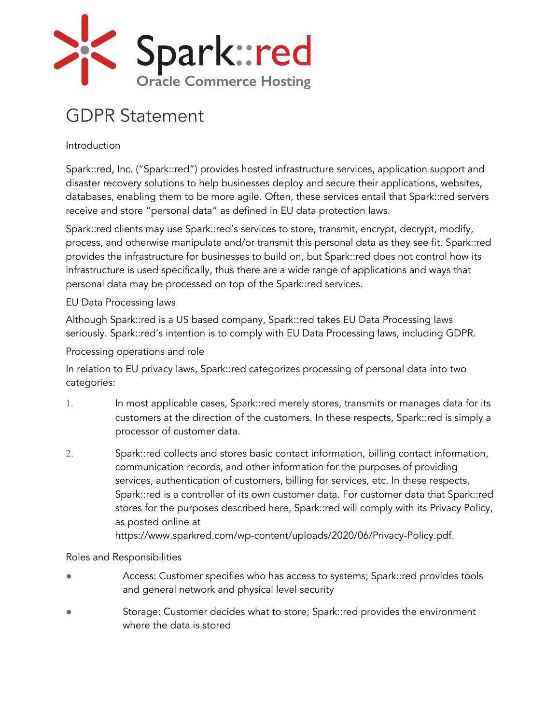

# GDPR Statement

Introduction

Spark::red, Inc. ("Spark::red") provides hosted infrastructure services, application support and disaster recovery solutions to help businesses deploy and secure their applications, websites, databases, enabling them to be more agile. Often, these services entail that Spark::red servers receive and store "personal data" as defined in EU data protection laws.

Spark::red clients may use Spark::red's services to store, transmit, encrypt, decrypt, modify, process, and otherwise manipulate and/or transmit this personal data as they see fit. Spark::red provides the infrastructure for businesses to build on, but Spark::red does not control how its infrastructure is used specifically, thus there are a wide range of applications and ways that personal data may be processed on top of the Spark::red services.

### EU Data Processing laws

Although Spark::red is a US based company, Spark::red takes EU Data Processing laws seriously. Spark::red's intention is to comply with EU Data Processing laws, including GDPR.

Processing operations and role

In relation to EU privacy laws, Spark::red categorizes processing of personal data into two categories:

- 1. In most applicable cases, Spark::red merely stores, transmits or manages data for its customers at the direction of the customers. In these respects, Spark::red is simply a processor of customer data.
- 2. Spark::red collects and stores basic contact information, billing contact information, communication records, and other information for the purposes of providing services, authentication of customers, billing for services, etc. In these respects, Spark::red is a controller of its own customer data. For customer data that Spark::red stores for the purposes described here, Spark::red will comply with its Privacy Policy, as posted online at

https://www.sparkred.com/wp-content/uploads/2020/06/Privacy-Policy.pdf.

## Roles and Responsibilities

- Access: Customer specifies who has access to systems; Spark::red provides tools and general network and physical level security
- Storage: Customer decides what to store; Spark::red provides the environment where the data is stored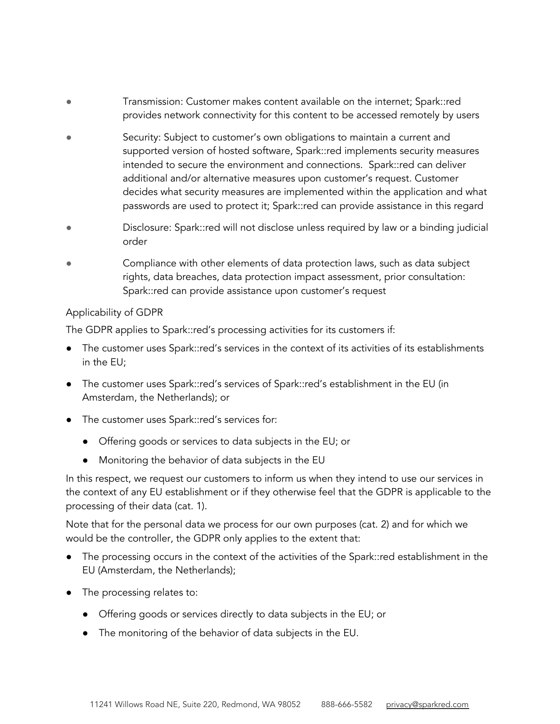- Transmission: Customer makes content available on the internet; Spark::red provides network connectivity for this content to be accessed remotely by users
- Security: Subject to customer's own obligations to maintain a current and supported version of hosted software, Spark::red implements security measures intended to secure the environment and connections. Spark::red can deliver additional and/or alternative measures upon customer's request. Customer decides what security measures are implemented within the application and what passwords are used to protect it; Spark::red can provide assistance in this regard
- Disclosure: Spark::red will not disclose unless required by law or a binding judicial order
- Compliance with other elements of data protection laws, such as data subject rights, data breaches, data protection impact assessment, prior consultation: Spark::red can provide assistance upon customer's request

#### Applicability of GDPR

The GDPR applies to Spark::red's processing activities for its customers if:

- The customer uses Spark::red's services in the context of its activities of its establishments in the EU;
- The customer uses Spark::red's services of Spark::red's establishment in the EU (in Amsterdam, the Netherlands); or
- The customer uses Spark::red's services for:
	- Offering goods or services to data subjects in the EU; or
	- Monitoring the behavior of data subjects in the EU

In this respect, we request our customers to inform us when they intend to use our services in the context of any EU establishment or if they otherwise feel that the GDPR is applicable to the processing of their data (cat. 1).

Note that for the personal data we process for our own purposes (cat. 2) and for which we would be the controller, the GDPR only applies to the extent that:

- The processing occurs in the context of the activities of the Spark::red establishment in the EU (Amsterdam, the Netherlands);
- The processing relates to:
	- Offering goods or services directly to data subjects in the EU; or
	- The monitoring of the behavior of data subjects in the EU.